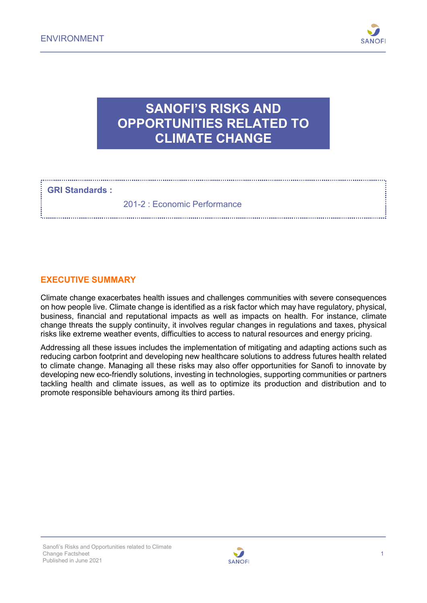

## **SANOFI'S RISKS AND OPPORTUNITIES RELATED TO CLIMATE CHANGE**

**GRI Standards :**

201-2 : Economic Performance

### **EXECUTIVE SUMMARY**

Climate change exacerbates health issues and challenges communities with severe consequences on how people live. Climate change is identified as a risk factor which may have regulatory, physical, business, financial and reputational impacts as well as impacts on health. For instance, climate change threats the supply continuity, it involves regular changes in regulations and taxes, physical risks like extreme weather events, difficulties to access to natural resources and energy pricing.

Addressing all these issues includes the implementation of mitigating and adapting actions such as reducing carbon footprint and developing new healthcare solutions to address futures health related to climate change. Managing all these risks may also offer opportunities for Sanofi to innovate by developing new eco-friendly solutions, investing in technologies, supporting communities or partners tackling health and climate issues, as well as to optimize its production and distribution and to promote responsible behaviours among its third parties.

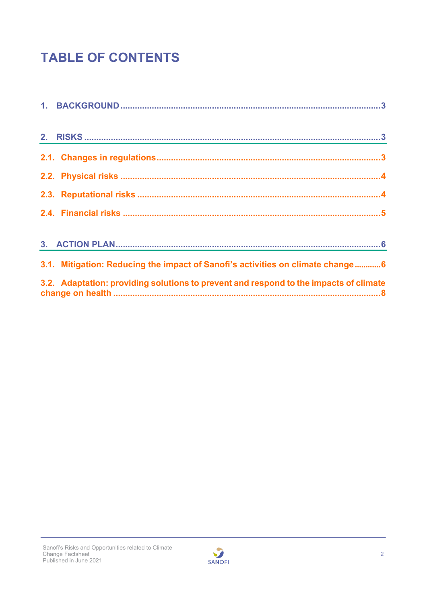# **TABLE OF CONTENTS**

| 3.1. Mitigation: Reducing the impact of Sanofi's activities on climate change6        |
|---------------------------------------------------------------------------------------|
| 3.2. Adaptation: providing solutions to prevent and respond to the impacts of climate |

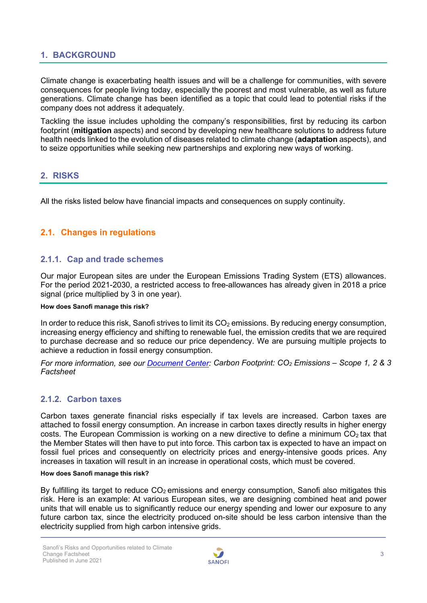### <span id="page-2-0"></span>**1. BACKGROUND**

Climate change is exacerbating health issues and will be a challenge for communities, with severe consequences for people living today, especially the poorest and most vulnerable, as well as future generations. Climate change has been identified as a topic that could lead to potential risks if the company does not address it adequately.

Tackling the issue includes upholding the company's responsibilities, first by reducing its carbon footprint (**mitigation** aspects) and second by developing new healthcare solutions to address future health needs linked to the evolution of diseases related to climate change (**adaptation** aspects), and to seize opportunities while seeking new partnerships and exploring new ways of working.

### <span id="page-2-1"></span>**2. RISKS**

All the risks listed below have financial impacts and consequences on supply continuity.

### <span id="page-2-2"></span>**2.1. Changes in regulations**

### **2.1.1. Cap and trade schemes**

Our major European sites are under the European Emissions Trading System (ETS) allowances. For the period 2021-2030, a restricted access to free-allowances has already given in 2018 a price signal (price multiplied by 3 in one year).

#### **How does Sanofi manage this risk?**

In order to reduce this risk, Sanofi strives to limit its  $CO<sub>2</sub>$  emissions. By reducing energy consumption, increasing energy efficiency and shifting to renewable fuel, the emission credits that we are required to purchase decrease and so reduce our price dependency. We are pursuing multiple projects to achieve a reduction in fossil energy consumption.

*For more information, see our [Document](https://www.sanofi.com/en/our-responsibility/documents-center) Center: Carbon Footprint: CO2 Emissions – Scope 1, 2 & 3 Factsheet*

### **2.1.2. Carbon taxes**

Carbon taxes generate financial risks especially if tax levels are increased. Carbon taxes are attached to fossil energy consumption. An increase in carbon taxes directly results in higher energy costs. The European Commission is working on a new directive to define a minimum  $CO<sub>2</sub>$  tax that the Member States will then have to put into force. This carbon tax is expected to have an impact on fossil fuel prices and consequently on electricity prices and energy-intensive goods prices. Any increases in taxation will result in an increase in operational costs, which must be covered.

#### **How does Sanofi manage this risk?**

By fulfilling its target to reduce  $CO<sub>2</sub>$  emissions and energy consumption, Sanofi also mitigates this risk. Here is an example: At various European sites, we are designing combined heat and power units that will enable us to significantly reduce our energy spending and lower our exposure to any future carbon tax, since the electricity produced on-site should be less carbon intensive than the electricity supplied from high carbon intensive grids.

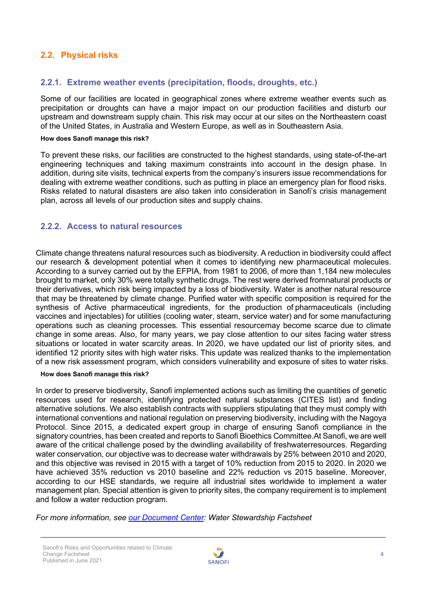### <span id="page-3-0"></span>**2.2. Physical risks**

### **2.2.1. Extreme weather events (precipitation, floods, droughts, etc.)**

Some of our facilities are located in geographical zones where extreme weather events such as precipitation or droughts can have a major impact on our production facilities and disturb our upstream and downstream supply chain. This risk may occur at our sites on the Northeastern coast of the United States, in Australia and Western Europe, as well as in Southeastern Asia.

#### **How does Sanofi manage this risk?**

To prevent these risks, our facilities are constructed to the highest standards, using state-of-the-art engineering techniques and taking maximum constraints into account in the design phase. In addition, during site visits, technical experts from the company's insurers issue recommendations for dealing with extreme weather conditions, such as putting in place an emergency plan for flood risks. Risks related to natural disasters are also taken into consideration in Sanofi's crisis management plan, across all levels of our production sites and supply chains.

### **2.2.2. Access to natural resources**

Climate change threatens natural resources such as biodiversity. A reduction in biodiversity could affect our research & development potential when it comes to identifying new pharmaceutical molecules. According to a survey carried out by the EFPIA, from 1981 to 2006, of more than 1,184 new molecules brought to market, only 30% were totally synthetic drugs. The rest were derived fromnatural products or their derivatives, which risk being impacted by a loss of biodiversity. Water is another natural resource that may be threatened by climate change. Purified water with specific composition is required for the synthesis of Active pharmaceutical ingredients, for the production of pharmaceuticals (including vaccines and injectables) for utilities (cooling water, steam, service water) and for some manufacturing operations such as cleaning processes. This essential resourcemay become scarce due to climate change in some areas. Also, for many years, we pay close attention to our sites facing water stress situations or located in water scarcity areas. In 2020, we have updated our list of priority sites, and identified 12 priority sites with high water risks. This update was realized thanks to the implementation of a new risk assessment program, which considers vulnerability and exposure of sites to water risks.

#### **How does Sanofi manage this risk?**

In order to preserve biodiversity, Sanofi implemented actions such as limiting the quantities of genetic resources used for research, identifying protected natural substances (CITES list) and finding alternative solutions. We also establish contracts with suppliers stipulating that they must comply with international conventions and national regulation on preserving biodiversity, including with the Nagoya Protocol. Since 2015, a dedicated expert group in charge of ensuring Sanofi compliance in the signatory countries, has been created and reports to Sanofi Bioethics Committee.At Sanofi, we are well aware of the critical challenge posed by the dwindling availability of freshwaterresources. Regarding water conservation, our objective was to decrease water withdrawals by 25% between 2010 and 2020, and this objective was revised in 2015 with a target of 10% reduction from 2015 to 2020. In 2020 we have achieved 35% reduction vs 2010 baseline and 22% reduction vs 2015 baseline. Moreover, according to our HSE standards, we require all industrial sites worldwide to implement a water management plan. Special attention is given to priority sites, the company requirement is to implement and follow a water reduction program.

*For more information, see [our Document Center:](https://www.sanofi.com/en/our-responsibility/documents-center) Water Stewardship Factsheet*

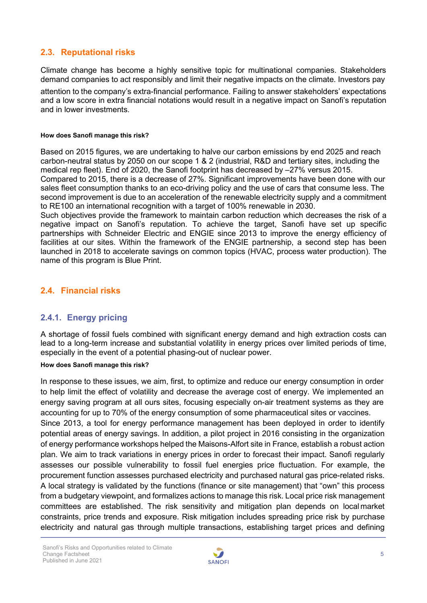### <span id="page-4-0"></span>**2.3. Reputational risks**

Climate change has become a highly sensitive topic for multinational companies. Stakeholders demand companies to act responsibly and limit their negative impacts on the climate. Investors pay

attention to the company's extra-financial performance. Failing to answer stakeholders' expectations and a low score in extra financial notations would result in a negative impact on Sanofi's reputation and in lower investments.

#### **How does Sanofi manage this risk?**

Based on 2015 figures, we are undertaking to halve our carbon emissions by end 2025 and reach carbon-neutral status by 2050 on our scope 1 & 2 (industrial, R&D and tertiary sites, including the medical rep fleet). End of 2020, the Sanofi footprint has decreased by –27% versus 2015.

Compared to 2015, there is a decrease of 27%. Significant improvements have been done with our sales fleet consumption thanks to an eco-driving policy and the use of cars that consume less. The second improvement is due to an acceleration of the renewable electricity supply and a commitment to RE100 an international recognition with a target of 100% renewable in 2030.

Such objectives provide the framework to maintain carbon reduction which decreases the risk of a negative impact on Sanofi's reputation. To achieve the target, Sanofi have set up specific partnerships with Schneider Electric and ENGIE since 2013 to improve the energy efficiency of facilities at our sites. Within the framework of the ENGIE partnership, a second step has been launched in 2018 to accelerate savings on common topics (HVAC, process water production). The name of this program is Blue Print.

### <span id="page-4-1"></span>**2.4. Financial risks**

### **2.4.1. Energy pricing**

A shortage of fossil fuels combined with significant energy demand and high extraction costs can lead to a long-term increase and substantial volatility in energy prices over limited periods of time, especially in the event of a potential phasing-out of nuclear power.

#### **How does Sanofi manage this risk?**

In response to these issues, we aim, first, to optimize and reduce our energy consumption in order to help limit the effect of volatility and decrease the average cost of energy. We implemented an energy saving program at all ours sites, focusing especially on-air treatment systems as they are accounting for up to 70% of the energy consumption of some pharmaceutical sites or vaccines. Since 2013, a tool for energy performance management has been deployed in order to identify potential areas of energy savings. In addition, a pilot project in 2016 consisting in the organization of energy performance workshops helped the Maisons-Alfort site in France, establish a robust action plan. We aim to track variations in energy prices in order to forecast their impact. Sanofi regularly assesses our possible vulnerability to fossil fuel energies price fluctuation. For example, the procurement function assesses purchased electricity and purchased natural gas price-related risks. A local strategy is validated by the functions (finance or site management) that "own" this process from a budgetary viewpoint, and formalizes actions to manage this risk. Local price risk management committees are established. The risk sensitivity and mitigation plan depends on local market constraints, price trends and exposure. Risk mitigation includes spreading price risk by purchase electricity and natural gas through multiple transactions, establishing target prices and defining

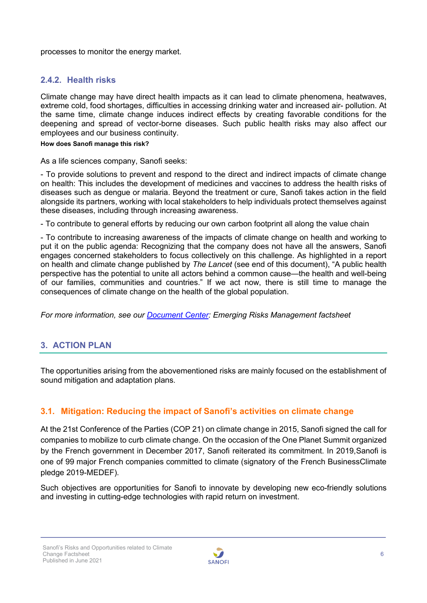processes to monitor the energy market.

### **2.4.2. Health risks**

Climate change may have direct health impacts as it can lead to climate phenomena, heatwaves, extreme cold, food shortages, difficulties in accessing drinking water and increased air- pollution. At the same time, climate change induces indirect effects by creating favorable conditions for the deepening and spread of vector-borne diseases. Such public health risks may also affect our employees and our business continuity.

#### **How does Sanofi manage this risk?**

As a life sciences company, Sanofi seeks:

- To provide solutions to prevent and respond to the direct and indirect impacts of climate change on health: This includes the development of medicines and vaccines to address the health risks of diseases such as dengue or malaria. Beyond the treatment or cure, Sanofi takes action in the field alongside its partners, working with local stakeholders to help individuals protect themselves against these diseases, including through increasing awareness.

- To contribute to general efforts by reducing our own carbon footprint all along the value chain

- To contribute to increasing awareness of the impacts of climate change on health and working to put it on the public agenda: Recognizing that the company does not have all the answers, Sanofi engages concerned stakeholders to focus collectively on this challenge. As highlighted in a report on health and climate change published by *The Lancet* (see end of this document), "A public health perspective has the potential to unite all actors behind a common cause—the health and well-being of our families, communities and countries." If we act now, there is still time to manage the consequences of climate change on the health of the global population.

*For more information, see our [Document Center:](https://www.sanofi.com/en/our-responsibility/documents-center) Emerging Risks Management factsheet*

### <span id="page-5-0"></span>**3. ACTION PLAN**

The opportunities arising from the abovementioned risks are mainly focused on the establishment of sound mitigation and adaptation plans.

### <span id="page-5-1"></span>**3.1. Mitigation: Reducing the impact of Sanofi's activities on climate change**

At the 21st Conference of the Parties (COP 21) on climate change in 2015, Sanofi signed the call for companies to mobilize to curb climate change. On the occasion of the One Planet Summit organized by the French government in December 2017, Sanofi reiterated its commitment. In 2019,Sanofi is one of 99 major French companies committed to climate (signatory of the French BusinessClimate pledge 2019-MEDEF).

Such objectives are opportunities for Sanofi to innovate by developing new eco-friendly solutions and investing in cutting-edge technologies with rapid return on investment.

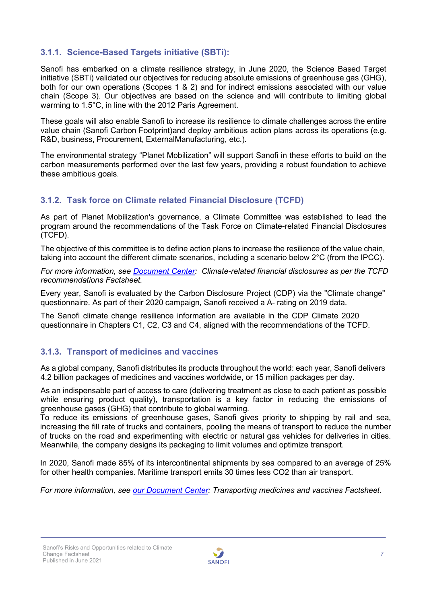### **3.1.1. Science-Based Targets initiative (SBTi):**

Sanofi has embarked on a climate resilience strategy, in June 2020, the Science Based Target initiative (SBTi) validated our objectives for reducing absolute emissions of greenhouse gas (GHG), both for our own operations (Scopes 1 & 2) and for indirect emissions associated with our value chain (Scope 3). Our objectives are based on the science and will contribute to limiting global warming to 1.5°C, in line with the 2012 Paris Agreement.

These goals will also enable Sanofi to increase its resilience to climate challenges across the entire value chain (Sanofi Carbon Footprint)and deploy ambitious action plans across its operations (e.g. R&D, business, Procurement, ExternalManufacturing, etc.).

The environmental strategy "Planet Mobilization" will support Sanofi in these efforts to build on the carbon measurements performed over the last few years, providing a robust foundation to achieve these ambitious goals.

### **3.1.2. Task force on Climate related Financial Disclosure (TCFD)**

As part of Planet Mobilization's governance, a Climate Committee was established to lead the program around the recommendations of the Task Force on Climate-related Financial Disclosures (TCFD).

The objective of this committee is to define action plans to increase the resilience of the value chain, taking into account the different climate scenarios, including a scenario below 2°C (from the IPCC).

*For more information, see [Document Center:](https://www.sanofi.com/en/our-responsibility/documents-center) Climate-related financial disclosures as per the TCFD recommendations Factsheet.*

Every year, Sanofi is evaluated by the Carbon Disclosure Project (CDP) via the "Climate change" questionnaire. As part of their 2020 campaign, Sanofi received a A- rating on 2019 data.

The Sanofi climate change resilience information are available in the CDP Climate 2020 questionnaire in Chapters C1, C2, C3 and C4, aligned with the recommendations of the TCFD.

### **3.1.3. Transport of medicines and vaccines**

As a global company, Sanofi distributes its products throughout the world: each year, Sanofi delivers 4.2 billion packages of medicines and vaccines worldwide, or 15 million packages per day.

As an indispensable part of access to care (delivering treatment as close to each patient as possible while ensuring product quality), transportation is a key factor in reducing the emissions of greenhouse gases (GHG) that contribute to global warming.

To reduce its emissions of greenhouse gases, Sanofi gives priority to shipping by rail and sea, increasing the fill rate of trucks and containers, pooling the means of transport to reduce the number of trucks on the road and experimenting with electric or natural gas vehicles for deliveries in cities. Meanwhile, the company designs its packaging to limit volumes and optimize transport.

In 2020, Sanofi made 85% of its intercontinental shipments by sea compared to an average of 25% for other health companies. Maritime transport emits 30 times less CO2 than air transport.

*For more information, see our [Document Center:](https://www.sanofi.com/en/our-responsibility/documents-center) Transporting medicines and vaccines Factsheet.*